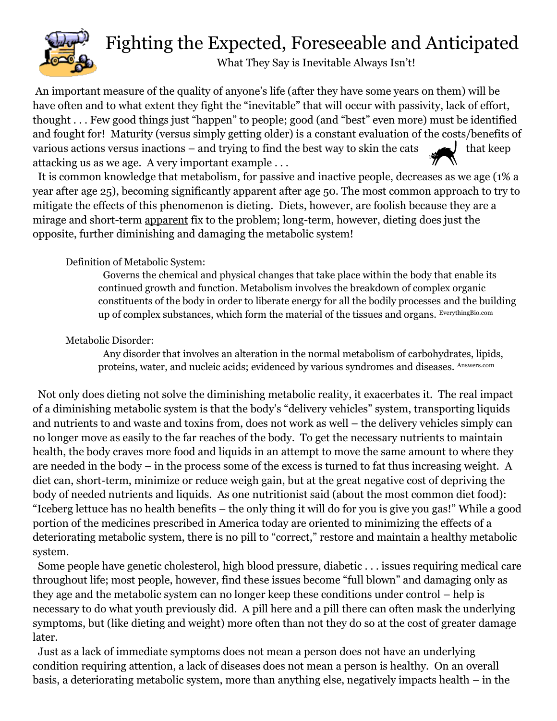

## Fighting the Expected, Foreseeable and Anticipated

What They Say is Inevitable Always Isn't!

An important measure of the quality of anyone's life (after they have some years on them) will be have often and to what extent they fight the "inevitable" that will occur with passivity, lack of effort, thought . . . Few good things just "happen" to people; good (and "best" even more) must be identified and fought for! Maturity (versus simply getting older) is a constant evaluation of the costs/benefits of various actions versus inactions – and trying to find the best way to skin the cats that keep attacking us as we age. A very important example . . .

 It is common knowledge that metabolism, for passive and inactive people, decreases as we age (1% a year after age 25), becoming significantly apparent after age 50. The most common approach to try to mitigate the effects of this phenomenon is dieting. Diets, however, are foolish because they are a mirage and short-term apparent fix to the problem; long-term, however, dieting does just the opposite, further diminishing and damaging the metabolic system!

#### Definition of Metabolic System:

 Governs the chemical and physical changes that take place within the body that enable its continued growth and function. Metabolism involves the breakdown of complex organic constituents of the body in order to liberate energy for all the bodily processes and the building up of complex substances, which form the material of the tissues and organs. EverythingBio.com

#### Metabolic Disorder:

 Any disorder that involves an alteration in the normal metabolism of carbohydrates, lipids, proteins, water, and nucleic acids; evidenced by various syndromes and diseases. Answers.com

 Not only does dieting not solve the diminishing metabolic reality, it exacerbates it. The real impact of a diminishing metabolic system is that the body's "delivery vehicles" system, transporting liquids and nutrients to and waste and toxins from, does not work as well – the delivery vehicles simply can no longer move as easily to the far reaches of the body. To get the necessary nutrients to maintain health, the body craves more food and liquids in an attempt to move the same amount to where they are needed in the body – in the process some of the excess is turned to fat thus increasing weight. A diet can, short-term, minimize or reduce weigh gain, but at the great negative cost of depriving the body of needed nutrients and liquids. As one nutritionist said (about the most common diet food): "Iceberg lettuce has no health benefits – the only thing it will do for you is give you gas!" While a good portion of the medicines prescribed in America today are oriented to minimizing the effects of a deteriorating metabolic system, there is no pill to "correct," restore and maintain a healthy metabolic system.

 Some people have genetic cholesterol, high blood pressure, diabetic . . . issues requiring medical care throughout life; most people, however, find these issues become "full blown" and damaging only as they age and the metabolic system can no longer keep these conditions under control – help is necessary to do what youth previously did. A pill here and a pill there can often mask the underlying symptoms, but (like dieting and weight) more often than not they do so at the cost of greater damage later.

 Just as a lack of immediate symptoms does not mean a person does not have an underlying condition requiring attention, a lack of diseases does not mean a person is healthy. On an overall basis, a deteriorating metabolic system, more than anything else, negatively impacts health – in the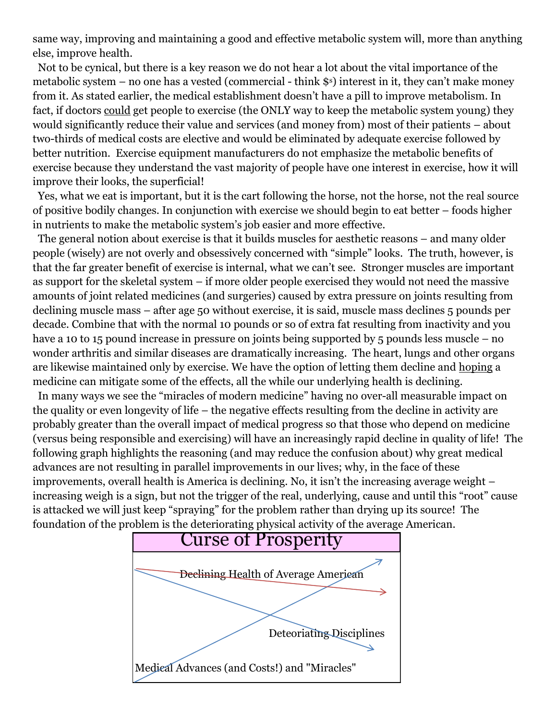same way, improving and maintaining a good and effective metabolic system will, more than anything else, improve health.

 Not to be cynical, but there is a key reason we do not hear a lot about the vital importance of the metabolic system – no one has a vested (commercial - think \$s) interest in it, they can't make money from it. As stated earlier, the medical establishment doesn't have a pill to improve metabolism. In fact, if doctors could get people to exercise (the ONLY way to keep the metabolic system young) they would significantly reduce their value and services (and money from) most of their patients – about two-thirds of medical costs are elective and would be eliminated by adequate exercise followed by better nutrition. Exercise equipment manufacturers do not emphasize the metabolic benefits of exercise because they understand the vast majority of people have one interest in exercise, how it will improve their looks, the superficial!

 Yes, what we eat is important, but it is the cart following the horse, not the horse, not the real source of positive bodily changes. In conjunction with exercise we should begin to eat better – foods higher in nutrients to make the metabolic system's job easier and more effective.

 The general notion about exercise is that it builds muscles for aesthetic reasons – and many older people (wisely) are not overly and obsessively concerned with "simple" looks. The truth, however, is that the far greater benefit of exercise is internal, what we can't see. Stronger muscles are important as support for the skeletal system – if more older people exercised they would not need the massive amounts of joint related medicines (and surgeries) caused by extra pressure on joints resulting from declining muscle mass – after age 50 without exercise, it is said, muscle mass declines 5 pounds per decade. Combine that with the normal 10 pounds or so of extra fat resulting from inactivity and you have a 10 to 15 pound increase in pressure on joints being supported by 5 pounds less muscle – no wonder arthritis and similar diseases are dramatically increasing. The heart, lungs and other organs are likewise maintained only by exercise. We have the option of letting them decline and hoping a medicine can mitigate some of the effects, all the while our underlying health is declining.

 In many ways we see the "miracles of modern medicine" having no over-all measurable impact on the quality or even longevity of life – the negative effects resulting from the decline in activity are probably greater than the overall impact of medical progress so that those who depend on medicine (versus being responsible and exercising) will have an increasingly rapid decline in quality of life! The following graph highlights the reasoning (and may reduce the confusion about) why great medical advances are not resulting in parallel improvements in our lives; why, in the face of these improvements, overall health is America is declining. No, it isn't the increasing average weight – increasing weigh is a sign, but not the trigger of the real, underlying, cause and until this "root" cause is attacked we will just keep "spraying" for the problem rather than drying up its source! The foundation of the problem is the deteriorating physical activity of the average American.

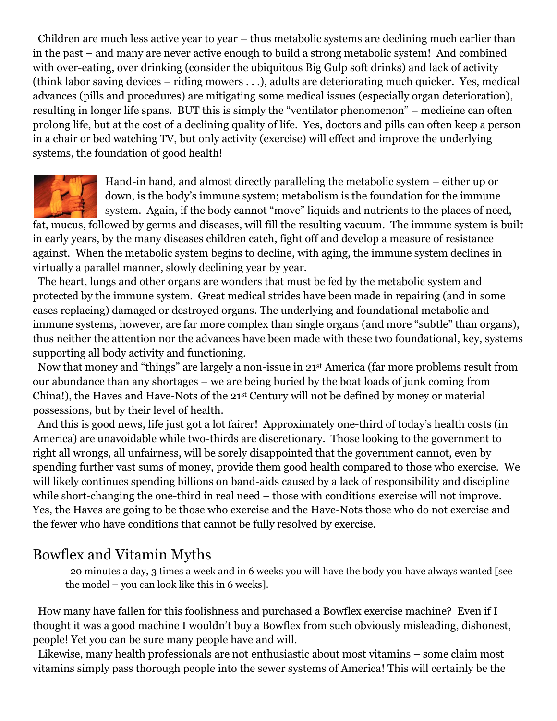Children are much less active year to year – thus metabolic systems are declining much earlier than in the past – and many are never active enough to build a strong metabolic system! And combined with over-eating, over drinking (consider the ubiquitous Big Gulp soft drinks) and lack of activity (think labor saving devices – riding mowers . . .), adults are deteriorating much quicker. Yes, medical advances (pills and procedures) are mitigating some medical issues (especially organ deterioration), resulting in longer life spans. BUT this is simply the "ventilator phenomenon" – medicine can often prolong life, but at the cost of a declining quality of life. Yes, doctors and pills can often keep a person in a chair or bed watching TV, but only activity (exercise) will effect and improve the underlying systems, the foundation of good health!



Hand-in hand, and almost directly paralleling the metabolic system – either up or down, is the body's immune system; metabolism is the foundation for the immune system. Again, if the body cannot "move" liquids and nutrients to the places of need,

fat, mucus, followed by germs and diseases, will fill the resulting vacuum. The immune system is built in early years, by the many diseases children catch, fight off and develop a measure of resistance against. When the metabolic system begins to decline, with aging, the immune system declines in virtually a parallel manner, slowly declining year by year.

 The heart, lungs and other organs are wonders that must be fed by the metabolic system and protected by the immune system. Great medical strides have been made in repairing (and in some cases replacing) damaged or destroyed organs. The underlying and foundational metabolic and immune systems, however, are far more complex than single organs (and more "subtle" than organs), thus neither the attention nor the advances have been made with these two foundational, key, systems supporting all body activity and functioning.

 Now that money and "things" are largely a non-issue in 21st America (far more problems result from our abundance than any shortages – we are being buried by the boat loads of junk coming from China!), the Haves and Have-Nots of the 21st Century will not be defined by money or material possessions, but by their level of health.

 And this is good news, life just got a lot fairer! Approximately one-third of today's health costs (in America) are unavoidable while two-thirds are discretionary. Those looking to the government to right all wrongs, all unfairness, will be sorely disappointed that the government cannot, even by spending further vast sums of money, provide them good health compared to those who exercise. We will likely continues spending billions on band-aids caused by a lack of responsibility and discipline while short-changing the one-third in real need – those with conditions exercise will not improve. Yes, the Haves are going to be those who exercise and the Have-Nots those who do not exercise and the fewer who have conditions that cannot be fully resolved by exercise.

### Bowflex and Vitamin Myths

 20 minutes a day, 3 times a week and in 6 weeks you will have the body you have always wanted [see the model – you can look like this in 6 weeks].

 How many have fallen for this foolishness and purchased a Bowflex exercise machine? Even if I thought it was a good machine I wouldn't buy a Bowflex from such obviously misleading, dishonest, people! Yet you can be sure many people have and will.

 Likewise, many health professionals are not enthusiastic about most vitamins – some claim most vitamins simply pass thorough people into the sewer systems of America! This will certainly be the